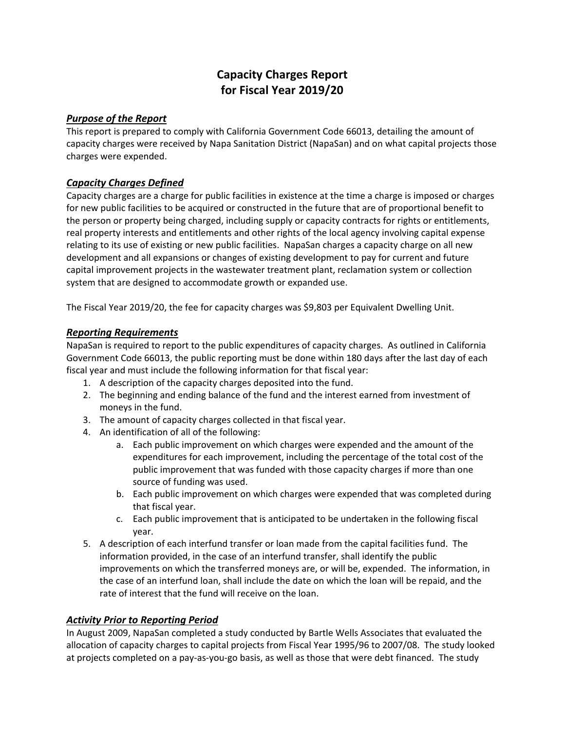# **Capacity Charges Report for Fiscal Year 2019/20**

### *Purpose of the Report*

This report is prepared to comply with California Government Code 66013, detailing the amount of capacity charges were received by Napa Sanitation District (NapaSan) and on what capital projects those charges were expended.

## *Capacity Charges Defined*

Capacity charges are a charge for public facilities in existence at the time a charge is imposed or charges for new public facilities to be acquired or constructed in the future that are of proportional benefit to the person or property being charged, including supply or capacity contracts for rights or entitlements, real property interests and entitlements and other rights of the local agency involving capital expense relating to its use of existing or new public facilities. NapaSan charges a capacity charge on all new development and all expansions or changes of existing development to pay for current and future capital improvement projects in the wastewater treatment plant, reclamation system or collection system that are designed to accommodate growth or expanded use.

The Fiscal Year 2019/20, the fee for capacity charges was \$9,803 per Equivalent Dwelling Unit.

### *Reporting Requirements*

NapaSan is required to report to the public expenditures of capacity charges. As outlined in California Government Code 66013, the public reporting must be done within 180 days after the last day of each fiscal year and must include the following information for that fiscal year:

- 1. A description of the capacity charges deposited into the fund.
- 2. The beginning and ending balance of the fund and the interest earned from investment of moneys in the fund.
- 3. The amount of capacity charges collected in that fiscal year.
- 4. An identification of all of the following:
	- a. Each public improvement on which charges were expended and the amount of the expenditures for each improvement, including the percentage of the total cost of the public improvement that was funded with those capacity charges if more than one source of funding was used.
	- b. Each public improvement on which charges were expended that was completed during that fiscal year.
	- c. Each public improvement that is anticipated to be undertaken in the following fiscal year.
- 5. A description of each interfund transfer or loan made from the capital facilities fund. The information provided, in the case of an interfund transfer, shall identify the public improvements on which the transferred moneys are, or will be, expended. The information, in the case of an interfund loan, shall include the date on which the loan will be repaid, and the rate of interest that the fund will receive on the loan.

### *Activity Prior to Reporting Period*

In August 2009, NapaSan completed a study conducted by Bartle Wells Associates that evaluated the allocation of capacity charges to capital projects from Fiscal Year 1995/96 to 2007/08. The study looked at projects completed on a pay-as-you-go basis, as well as those that were debt financed. The study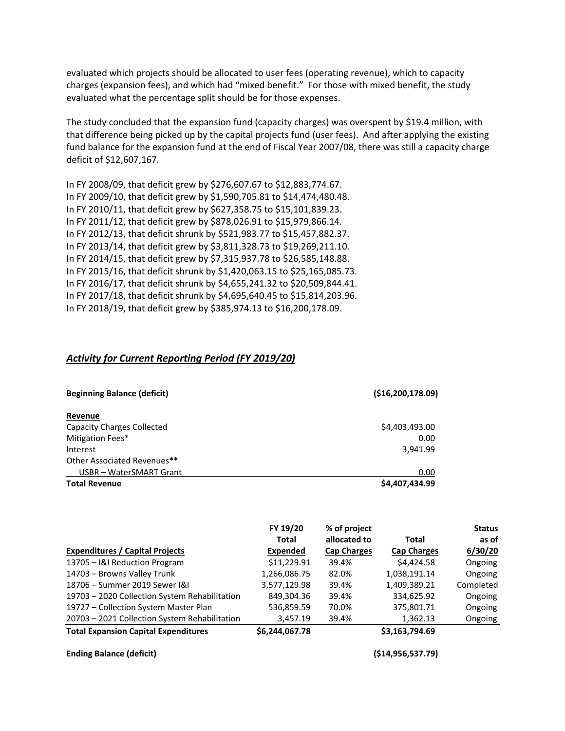evaluated which projects should be allocated to user fees (operating revenue), which to capacity charges (expansion fees), and which had "mixed benefit." For those with mixed benefit, the study evaluated what the percentage split should be for those expenses.

The study concluded that the expansion fund (capacity charges) was overspent by \$19.4 million, with that difference being picked up by the capital projects fund (user fees). And after applying the existing fund balance for the expansion fund at the end of Fiscal Year 2007/08, there was still a capacity charge deficit of \$12,607,167.

In FY 2008/09, that deficit grew by \$276,607.67 to \$12,883,774.67. In FY 2009/10, that deficit grew by \$1,590,705.81 to \$14,474,480.48. In FY 2010/11, that deficit grew by \$627,358.75 to \$15,101,839.23. In FY 2011/12, that deficit grew by \$878,026.91 to \$15,979,866.14. In FY 2012/13, that deficit shrunk by \$521,983.77 to \$15,457,882.37. In FY 2013/14, that deficit grew by \$3,811,328.73 to \$19,269,211.10. In FY 2014/15, that deficit grew by \$7,315,937.78 to \$26,585,148.88. In FY 2015/16, that deficit shrunk by \$1,420,063.15 to \$25,165,085.73. In FY 2016/17, that deficit shrunk by \$4,655,241.32 to \$20,509,844.41. In FY 2017/18, that deficit shrunk by \$4,695,640.45 to \$15,814,203.96. In FY 2018/19, that deficit grew by \$385,974.13 to \$16,200,178.09.

#### *Activity for Current Reporting Period (FY 2019/20)*

| (\$16,200,178.09)<br><b>Beginning Balance (deficit)</b> |                |  |
|---------------------------------------------------------|----------------|--|
| Revenue                                                 |                |  |
| <b>Capacity Charges Collected</b>                       | \$4,403,493.00 |  |
| Mitigation Fees*                                        | 0.00           |  |
| Interest                                                | 3,941.99       |  |
| Other Associated Revenues**                             |                |  |
| USBR - WaterSMART Grant                                 | 0.00           |  |
| <b>Total Revenue</b>                                    | \$4,407,434.99 |  |

|                                               | FY 19/20        | % of project       |                    | <b>Status</b> |
|-----------------------------------------------|-----------------|--------------------|--------------------|---------------|
|                                               | Total           | allocated to       | Total              | as of         |
| <b>Expenditures / Capital Projects</b>        | <b>Expended</b> | <b>Cap Charges</b> | <b>Cap Charges</b> | 6/30/20       |
| 13705 - I&I Reduction Program                 | \$11,229.91     | 39.4%              | \$4,424.58         | Ongoing       |
| 14703 - Browns Valley Trunk                   | 1,266,086.75    | 82.0%              | 1,038,191.14       | Ongoing       |
| 18706 - Summer 2019 Sewer I&I                 | 3,577,129.98    | 39.4%              | 1,409,389.21       | Completed     |
| 19703 - 2020 Collection System Rehabilitation | 849,304.36      | 39.4%              | 334,625.92         | Ongoing       |
| 19727 - Collection System Master Plan         | 536,859.59      | 70.0%              | 375,801.71         | Ongoing       |
| 20703 - 2021 Collection System Rehabilitation | 3,457.19        | 39.4%              | 1,362.13           | Ongoing       |
| <b>Total Expansion Capital Expenditures</b>   | \$6,244,067.78  |                    | \$3,163,794.69     |               |

#### **Ending Balance (deficit) (\$14,956,537.79)**